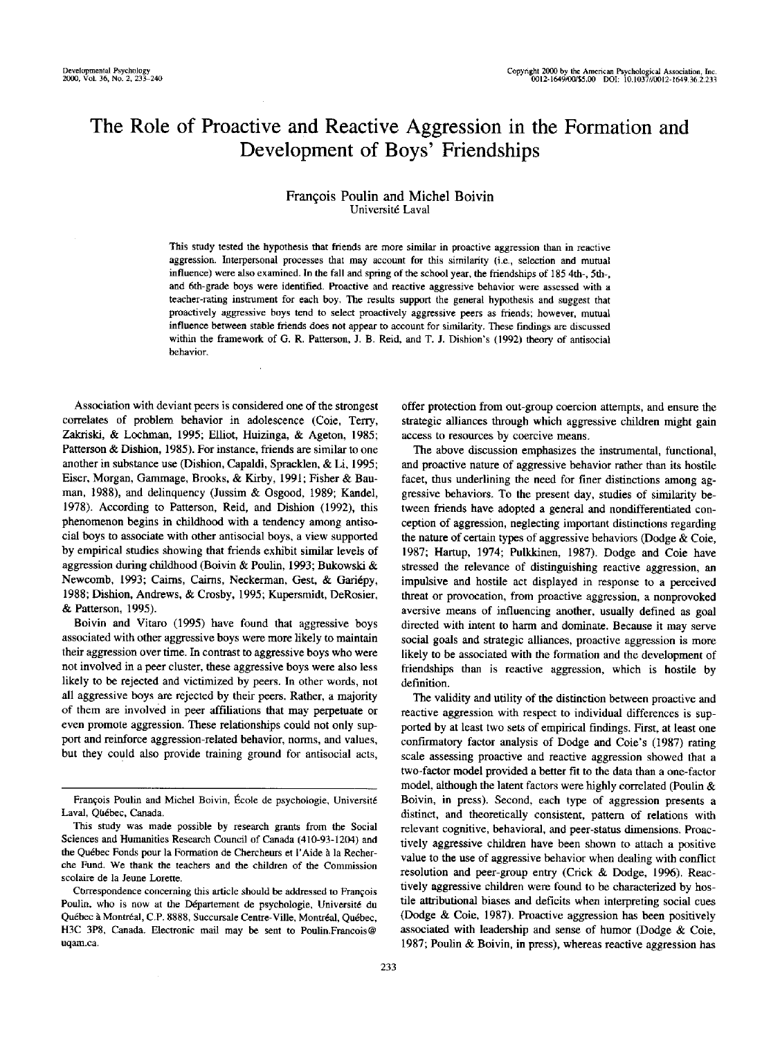# The Role of Proactive and Reactive Aggression in the Formation and Development of Boys' Friendships

# Francois Poulin and Michel Boivin Université Laval

This study tested the hypothesis that friends are more similar in proactive aggression than in reactive aggression. Interpersonal processes that may account for this similarity (i.e., selection and mutual influence) were also examined. In the fall and spring of the school year, the friendships of 185 4th-, 5th-, and 6th-grade boys were identified. Proactive and reactive aggressive behavior were assessed with a teacher-rating instrument for each boy. The results support the general hypothesis and suggest that proactively aggressive boys tend to select proactively aggressive peers as friends; however, mutual influence between stable friends does not appear to account for similarity. These findings are discussed within the framework of G. R. Patterson, J. B. Reid, and T. J. Dishion's (1992) theory of antisocial behavior.

Association with deviant peers is considered one of the strongest correlates of problem behavior in adolescence (Coie, Terry, Zakriski, & Lochman, 1995; Elliot, Huizinga, & Ageton, 1985; Patterson & Dishion, 1985). For instance, friends are similar to one another in substance use (Dishion, Capaldi, Spracklen, & Li, 1995; Eiser, Morgan, Gammage, Brooks, & Kirby, 1991; Fisher & Bauman, 1988), and delinquency (Jussim & Osgood, 1989; Kandel, 1978). According to Patterson, Reid, and Dishion (1992), this phenomenon begins in childhood with a tendency among antisocial boys to associate with other antisocial boys, a view supported by empirical studies showing that friends exhibit similar levels of aggression during childhood (Boivin & Poulin, 1993; Bukowski *&* Newcomb, 1993; Cairns, Cairns, Neckerman, Gest, & Gariépy, 1988; Dishion, Andrews, & Crosby, 1995; Kupersmidt, DeRosier, & Patterson, 1995).

Boivin and Vitaro (1995) have found that aggressive boys associated with other aggressive boys were more likely to maintain their aggression over time. In contrast to aggressive boys who were not involved in a peer cluster, these aggressive boys were also less likely to be rejected and victimized by peers. In other words, not all aggressive boys are rejected by their peers. Rather, a majority of them are involved in peer affiliations that may perpetuate or even promote aggression. These relationships could not only support and reinforce aggression-related behavior, norms, and values, but they could also provide training ground for antisocial acts,

Correspondence concerning this article should be addressed to Francois Poulin, who is now at the Département de psychologie, Université du Québec à Montréal, C.P. 8888, Succursale Centre-Ville, Montréal, Québec, H3C 3P8, Canada. Electronic mail may be sent to Poulin.Francois@ uqam.ca.

offer protection from out-group coercion attempts, and ensure the strategic alliances through which aggressive children might gain access to resources by coercive means.

The above discussion emphasizes the instrumental, functional, and proactive nature of aggressive behavior rather than its hostile facet, thus underlining the need for finer distinctions among aggressive behaviors. To the present day, studies of similarity between friends have adopted a general and nondifferentiated conception of aggression, neglecting important distinctions regarding the nature of certain types of aggressive behaviors (Dodge & Coie, 1987; Hartup, 1974; Pulkkinen, 1987). Dodge and Coie have stressed the relevance of distinguishing reactive aggression, an impulsive and hostile act displayed in response to a perceived threat or provocation, from proactive aggression, a nonprovoked aversive means of influencing another, usually defined as goal directed with intent to harm and dominate. Because it may serve social goals and strategic alliances, proactive aggression is more likely to be associated with the formation and the development of friendships than is reactive aggression, which is hostile by definition.

The validity and utility of the distinction between proactive and reactive aggression with respect to individual differences is supported by at least two sets of empirical findings. First, at least one confirmatory factor analysis of Dodge and Coie's (1987) rating scale assessing proactive and reactive aggression showed that a two-factor model provided a better fit to the data than a one-factor model, although the latent factors were highly correlated (Poulin & Boivin, in press). Second, each type of aggression presents a distinct, and theoretically consistent, pattern of relations with relevant cognitive, behavioral, and peer-status dimensions. Proactively aggressive children have been shown to attach a positive value to the use of aggressive behavior when dealing with conflict resolution and peer-group entry (Crick & Dodge, 1996). Reactively aggressive children were found to be characterized by hostile attributional biases and deficits when interpreting social cues (Dodge & Coie, 1987). Proactive aggression has been positively associated with leadership and sense of humor (Dodge & Coie, 1987; Poulin & Boivin, in press), whereas reactive aggression has

François Poulin and Michel Boivin, École de psychologie, Université Laval, Québec, Canada.

This study was made possible by research grants from the Social Sciences and Humanities Research Council of Canada (410-93-1204) and the Quebec Fonds pour la Formation de Chercheurs et I'Aide a la Recherche Fund. We thank the teachers and the children of the Commission scolaire de la Jeune Lorette.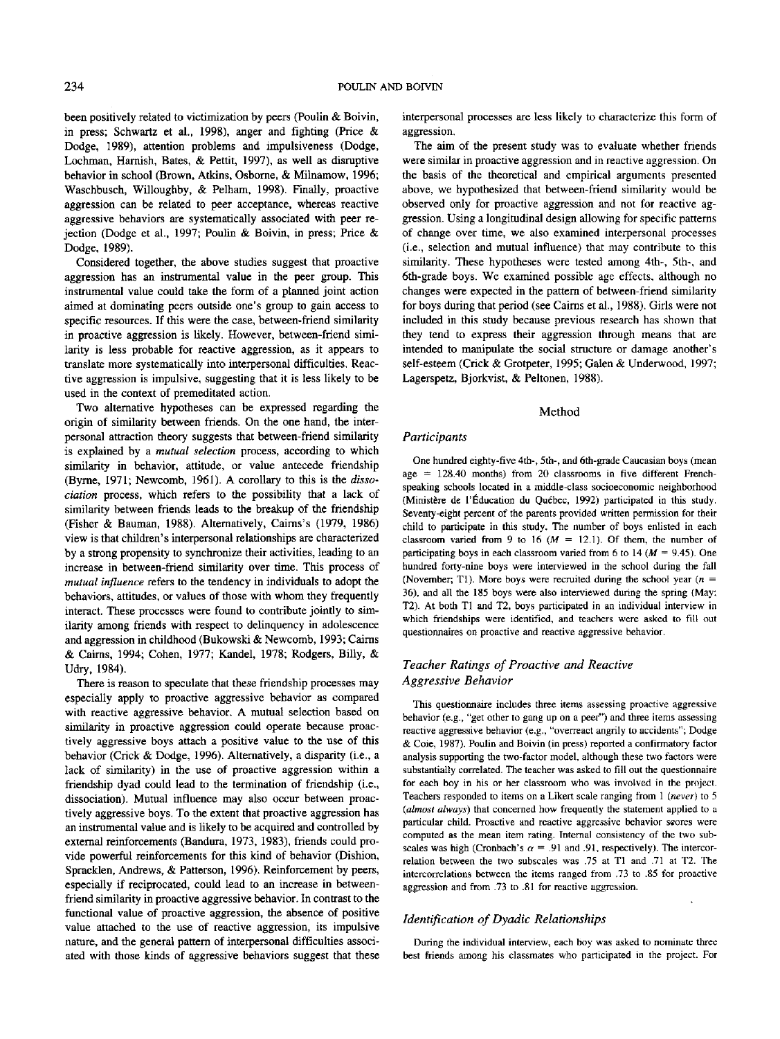been positively related to victimization by peers (Poulin & Boivin, in press; Schwartz et al., 1998), anger and fighting (Price & Dodge, 1989), attention problems and impulsiveness (Dodge, Lochman, Harnish, Bates, & Pettit, 1997), as well as disruptive behavior in school (Brown, Atkins, Osborne, & Milnamow, 1996; Waschbusch, Willoughby, & Pelham, 1998). Finally, proactive aggression can be related to peer acceptance, whereas reactive aggressive behaviors are systematically associated with peer rejection (Dodge et al., 1997; Poulin & Boivin, in press; Price & Dodge, 1989).

Considered together, the above studies suggest that proactive aggression has an instrumental value in the peer group. This instrumental value could take the form of a planned joint action aimed at dominating peers outside one's group to gain access to specific resources. If this were the case, between-friend similarity in proactive aggression is likely. However, between-friend similarity is less probable for reactive aggression, as it appears to translate more systematically into interpersonal difficulties. Reactive aggression is impulsive, suggesting that it is less likely to be used in the context of premeditated action.

Two alternative hypotheses can be expressed regarding the origin of similarity between friends. On the one hand, the interpersonal attraction theory suggests that between-friend similarity is explained by a *mutual selection* process, according to which similarity in behavior, attitude, or value antecede friendship (Byrne, 1971; Newcomb, 1961). A corollary to this is the *dissociation* process, which refers to the possibility that a lack of similarity between friends leads to the breakup of the friendship (Fisher & Bauman, 1988). Alternatively, Cairns's (1979, 1986) view is that children's interpersonal relationships are characterized by a strong propensity to synchronize their activities, leading to an increase in between-friend similarity over time. This process of *mutual influence* refers to the tendency in individuals to adopt the behaviors, attitudes, or values of those with whom they frequently interact. These processes were found to contribute jointly to similarity among friends with respect to delinquency in adolescence and aggression in childhood (Bukowski & Newcomb, 1993; Cairns & Cairns, 1994; Cohen, 1977; Kandel, 1978; Rodgers, Billy, & Udry, 1984).

There is reason to speculate that these friendship processes may especially apply to proactive aggressive behavior as compared with reactive aggressive behavior. A mutual selection based on similarity in proactive aggression could operate because proactively aggressive boys attach a positive value to the use of this behavior (Crick & Dodge, 1996). Alternatively, a disparity (i.e., a lack of similarity) in the use of proactive aggression within a friendship dyad could lead to the termination of friendship (i.e., dissociation). Mutual influence may also occur between proactively aggressive boys. To the extent that proactive aggression has an instrumental value and is likely to be acquired and controlled by external reinforcements (Bandura, 1973, 1983), friends could provide powerful reinforcements for this kind of behavior (Dishion, Spracklen, Andrews, & Patterson, 1996). Reinforcement by peers, especially if reciprocated, could lead to an increase in betweenfriend similarity in proactive aggressive behavior. In contrast to the functional value of proactive aggression, the absence of positive value attached to the use of reactive aggression, its impulsive nature, and the general pattern of interpersonal difficulties associated with those kinds of aggressive behaviors suggest that these

interpersonal processes are less likely to characterize this form of aggression.

The aim of the present study was to evaluate whether friends were similar in proactive aggression and in reactive aggression. On the basis of the theoretical and empirical arguments presented above, we hypothesized that between-friend similarity would be observed only for proactive aggression and not for reactive aggression. Using a longitudinal design allowing for specific patterns of change over time, we also examined interpersonal processes (i.e., selection and mutual influence) that may contribute to this similarity. These hypotheses were tested among 4th-, 5th-, and 6th-grade boys. We examined possible age effects, although no changes were expected in the pattern of between-friend similarity for boys during that period (see Cairns et al., 1988). Girls were not included in this study because previous research has shown that they tend to express their aggression through means that are intended to manipulate the social structure or damage another's self-esteem (Crick & Grotpeter, 1995; Galen & Underwood, 1997; Lagerspetz, Bjorkvist, & Peltonen, 1988).

#### Method

#### *Participants*

One hundred eighty-five 4th-, 5th-, and 6th-grade Caucasian boys (mean  $age = 128.40$  months) from 20 classrooms in five different Frenchspeaking schools located in a middle-class socioeconomic neighborhood (Ministere de 1'Education du Quebec, 1992) participated in this study. Seventy-eight percent of the parents provided written permission for their child to participate in this study. The number of boys enlisted in each classroom varied from 9 to 16 ( $M = 12.1$ ). Of them, the number of participating boys in each classroom varied from 6 to 14 *(M* = 9.45). One hundred forty-nine boys were interviewed in the school during the fall (November; T1). More boys were recruited during the school year  $(n =$ 36), and all the 185 boys were also interviewed during the spring (May; T2). At both Tl and T2, boys participated in an individual interview in which friendships were identified, and teachers were asked to fill out questionnaires on proactive and reactive aggressive behavior.

# *Teacher Ratings of Proactive and Reactive Aggressive Behavior*

This questionnaire includes three items assessing proactive aggressive behavior (e.g., "get other to gang up on a peer") and three items assessing reactive aggressive behavior (e.g., "overreact angrily to accidents"; Dodge & Coie, 1987). Poulin and Boivin (in press) reported a confirmatory factor analysis supporting the two-factor model, although these two factors were substantially correlated. The teacher was asked to fill out the questionnaire for each boy in his or her classroom who was involved in the project. Teachers responded to items on a Likert scale ranging from 1 *(never)* to 5 *{almost always)* that concerned how frequently the statement applied to a particular child. Proactive and reactive aggressive behavior scores were computed as the mean item rating. Internal consistency of the two subscales was high (Cronbach's  $\alpha$  = .91 and .91, respectively). The intercorrelation between the two subscales was .75 at Tl and .71 at T2. The intercorrelations between the items ranged from .73 to .85 for proactive aggression and from .73 to .81 for reactive aggression.

## *Identification of Dyadic Relationships*

During the individual interview, each boy was asked to nominate three best friends among his classmates who participated in the project. For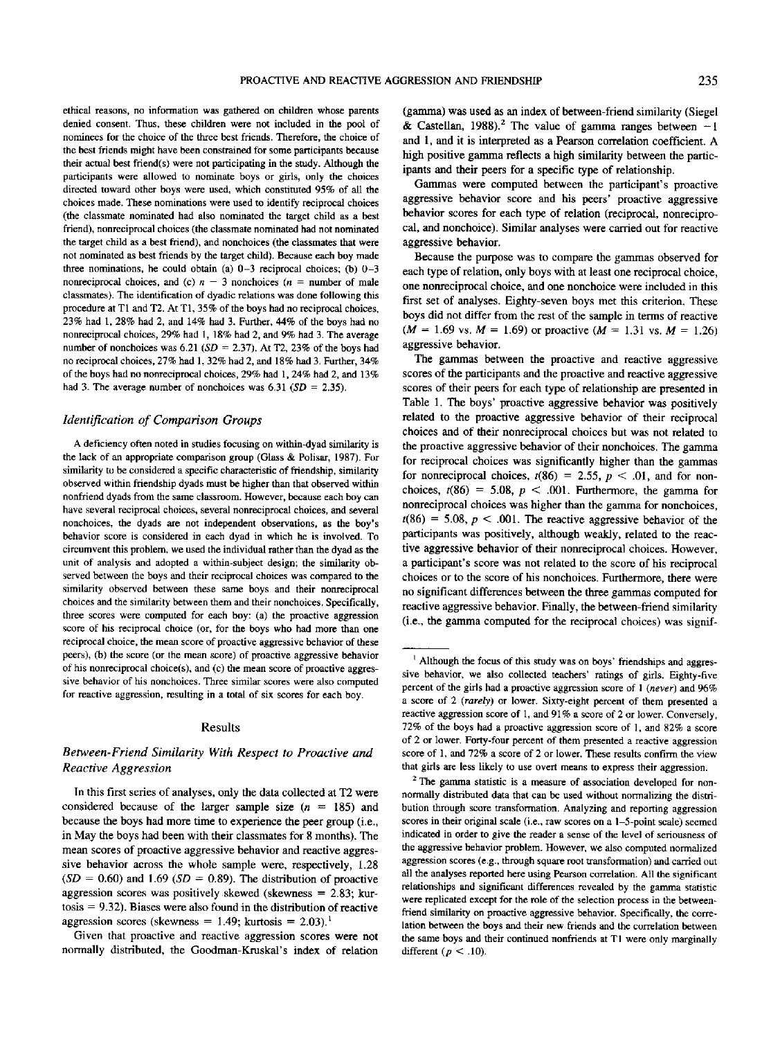ethical reasons, no information was gathered on children whose parents denied consent. Thus, these children were not included in the pool of nominees for the choice of the three best friends. Therefore, the choice of the best friends might have been constrained for some participants because their actual best friend(s) were not participating in the study. Although the participants were allowed to nominate boys or girls, only the choices directed toward other boys were used, which constituted 95% of all the choices made. These nominations were used to identify reciprocal choices (the classmate nominated had also nominated the target child as a best friend), nonreciprocal choices (the classmate nominated had not nominated the target child as a best friend), and nonchoices (the classmates that were not nominated as best friends by the target child). Because each boy made three nominations, he could obtain (a)  $0-3$  reciprocal choices; (b)  $0-3$ nonreciprocal choices, and (c)  $n - 3$  nonchoices ( $n =$  number of male classmates). The identification of dyadic relations was done following this procedure at Tl and T2. At Tl, 35% of the boys had no reciprocal choices, 23% had 1, 28% had 2, and 14% had 3. Further, 44% of the boys had no nonreciprocal choices, 29% had 1, 18% had 2, and *9%* had 3. The average number of nonchoices was  $6.21$  ( $SD = 2.37$ ). At T2, 23% of the boys had no reciprocal choices, 27% had 1, 32% had 2, and 18% had 3. Further, 34% of the boys had no nonreciprocal choices, 29% had 1, 24% had 2, and 13% had 3. The average number of nonchoices was 6.31 *(SD =* 2.35).

## *Identification of Comparison Groups*

A deficiency often noted in studies focusing on within-dyad similarity is the lack of an appropriate comparison group (Glass & Polisar, 1987). For similarity to be considered a specific characteristic of friendship, similarity observed within friendship dyads must be higher than that observed within nonfriend dyads from the same classroom. However, because each boy can have several reciprocal choices, several nonreciprocal choices, and several nonchoices, the dyads are not independent observations, as the boy's behavior score is considered in each dyad in which he is involved. To circumvent this problem, we used the individual rather than the dyad as the unit of analysis and adopted a within-subject design; the similarity observed between the boys and their reciprocal choices was compared to the similarity observed between these same boys and their nonreciprocal choices and the similarity between them and their nonchoices. Specifically, three scores were computed for each boy: (a) the proactive aggression score of his reciprocal choice (or, for the boys who had more than one reciprocal choice, the mean score of proactive aggressive behavior of these peers), (b) the score (or the mean score) of proactive aggressive behavior of his nonreciprocal choice(s), and (c) the mean score of proactive aggressive behavior of his nonchoices. Three similar scores were also computed for reactive aggression, resulting in a total of six scores for each boy.

#### Results

# *Between-Friend Similarity With Respect to Proactive and Reactive Aggression*

In this first series of analyses, only the data collected at T2 were considered because of the larger sample size  $(n = 185)$  and because the boys had more time to experience the peer group (i.e., in May the boys had been with their classmates for 8 months). The mean scores of proactive aggressive behavior and reactive aggressive behavior across the whole sample were, respectively, 1.28  $(SD = 0.60)$  and 1.69 *(SD = 0.89)*. The distribution of proactive aggression scores was positively skewed (skewness = 2.83; kur $t$ osis = 9.32). Biases were also found in the distribution of reactive aggression scores (skewness = 1.49; kurtosis =  $2.03$ ).<sup>1</sup>

Given that proactive and reactive aggression scores were not normally distributed, the Goodman-Kruskal's index of relation

(gamma) was used as an index of between-friend similarity (Siegel & Castellan, 1988).<sup>2</sup> The value of gamma ranges between  $-1$ and 1, and it is interpreted as a Pearson correlation coefficient. A high positive gamma reflects a high similarity between the participants and their peers for a specific type of relationship.

Gammas were computed between the participant's proactive aggressive behavior score and his peers' proactive aggressive behavior scores for each type of relation (reciprocal, nonreciprocal, and nonchoice). Similar analyses were carried out for reactive aggressive behavior.

Because the purpose was to compare the gammas observed for each type of relation, only boys with at least one reciprocal choice, one nonreciprocal choice, and one nonchoice were included in this first set of analyses. Eighty-seven boys met this criterion. These boys did not differ from the rest of the sample in terms of reactive *(M =* 1.69 vs. *M =* 1.69) or proactive *(M =* 1.31 vs. *M =* 1.26) aggressive behavior.

The gammas between the proactive and reactive aggressive scores of the participants and the proactive and reactive aggressive scores of their peers for each type of relationship are presented in Table 1. The boys' proactive aggressive behavior was positively related to the proactive aggressive behavior of their reciprocal choices and of their nonreciprocal choices but was not related to the proactive aggressive behavior of their nonchoices. The gamma for reciprocal choices was significantly higher than the gammas for nonreciprocal choices,  $t(86) = 2.55$ ,  $p < .01$ , and for nonchoices,  $t(86) = 5.08$ ,  $p < .001$ . Furthermore, the gamma for nonreciprocal choices was higher than the gamma for nonchoices,  $t(86) = 5.08$ ,  $p < .001$ . The reactive aggressive behavior of the participants was positively, although weakly, related to the reactive aggressive behavior of their nonreciprocal choices. However, a participant's score was not related to the score of his reciprocal choices or to the score of his nonchoices. Furthermore, there were no significant differences between the three gammas computed for reactive aggressive behavior. Finally, the between-friend similarity (i.e., the gamma computed for the reciprocal choices) was signif-

<sup>&</sup>lt;sup>1</sup> Although the focus of this study was on boys' friendships and aggressive behavior, we also collected teachers' ratings of girls. Eighty-five percent of the girls had a proactive aggression score of 1 *(never)* and 96% a score of 2 *(rarely)* or lower. Sixty-eight percent of them presented a reactive aggression score of 1, and 91% a score of 2 or lower. Conversely, 72% of the boys had a proactive aggression score of 1, and 82% a score of 2 or lower. Forty-four percent of them presented a reactive aggression score of 1, and 72% a score of 2 or lower. These results confirm the view that girls are less likely to use overt means to express their aggression.

<sup>&</sup>lt;sup>2</sup> The gamma statistic is a measure of association developed for nonnormally distributed data that can be used without normalizing the distribution through scare transformation. Analyzing and reporting aggression scores in their original scale (i.e., raw scores on a 1-5-point scale) seemed indicated in order to give the reader a sense of the level of seriousness of the aggressive behavior problem. However, we also computed normalized aggression scores (e.g., through square root transformation) and carried out all the analyses reported here using Pearson correlation. All the significant relationships and significant differences revealed by the gamma statistic were replicated except for the role of the selection process in the betweenfriend similarity on proactive aggressive behavior. Specifically, the correlation between the boys and their new friends and the correlation between the same boys and their continued nonfriends at Tl were only marginally different *(p* < .10).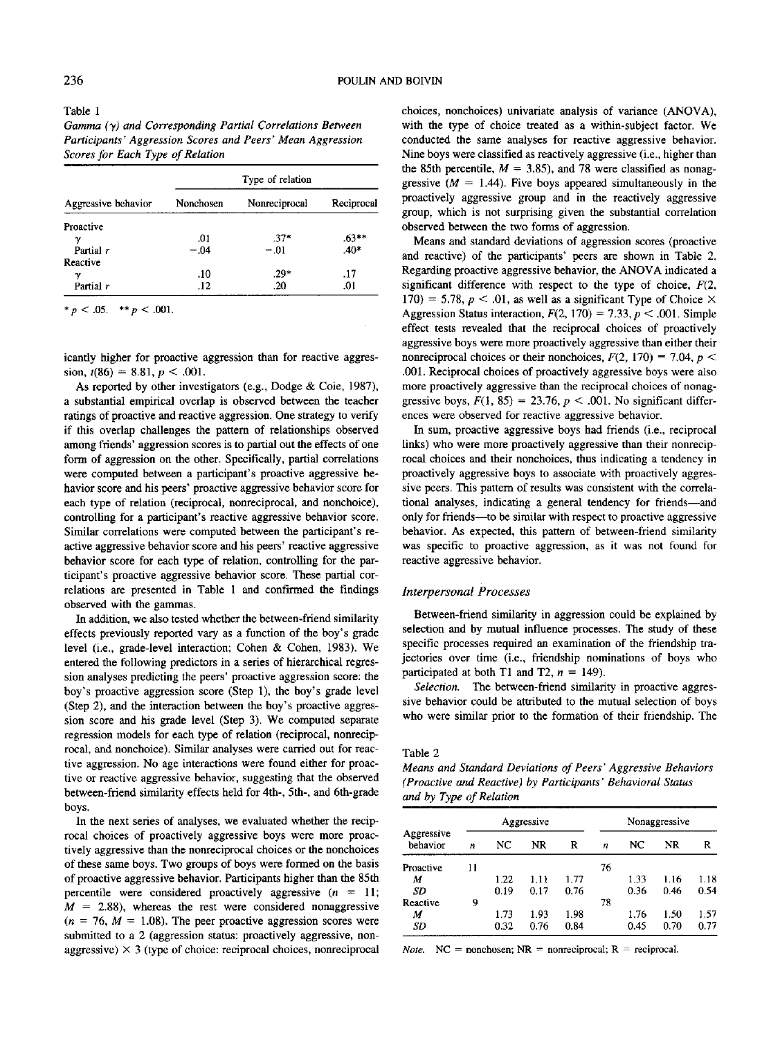Table 1

*Gamma (y) and Corresponding Partial Correlations Between Participants' Aggression Scores and Peers' Mean Aggression Scores for Each Type of Relation*

|                     | Type of relation |               |            |  |  |  |
|---------------------|------------------|---------------|------------|--|--|--|
| Aggressive behavior | Nonchosen        | Nonreciprocal | Reciprocal |  |  |  |
| Proactive           |                  |               |            |  |  |  |
|                     | .01              | $.37*$        | $.63**$    |  |  |  |
| Partial $r$         | $-.04$           | $-.01$        | $.40*$     |  |  |  |
| Reactive            |                  |               |            |  |  |  |
| γ                   | .10              | $.29*$        | .17        |  |  |  |
| Partial r           | .12              | .20           | .01        |  |  |  |

 $* p < .05.$  \*\*  $p < .001.$ 

icantly higher for proactive aggression than for reactive aggression,  $t(86) = 8.81, p < .001$ .

As reported by other investigators (e.g., Dodge & Coie, 1987), a substantial empirical overlap is observed between the teacher ratings of proactive and reactive aggression. One strategy to verify if this overlap challenges the pattern of relationships observed among friends' aggression scores is to partial out the effects of one form of aggression on the other. Specifically, partial correlations were computed between a participant's proactive aggressive behavior score and his peers' proactive aggressive behavior score for each type of relation (reciprocal, nonreciprocal, and nonchoice), controlling for a participant's reactive aggressive behavior score. Similar correlations were computed between the participant's reactive aggressive behavior score and his peers' reactive aggressive behavior score for each type of relation, controlling for the participant's proactive aggressive behavior score. These partial correlations are presented in Table 1 and confirmed the findings observed with the gammas.

In addition, we also tested whether the between-friend similarity effects previously reported vary as a function of the boy's grade level (i.e., grade-level interaction; Cohen & Cohen, 1983). We entered the following predictors in a series of hierarchical regression analyses predicting the peers' proactive aggression score: the boy's proactive aggression score (Step 1), the boy's grade level (Step 2), and the interaction between the boy's proactive aggression score and his grade level (Step 3). We computed separate regression models for each type of relation (reciprocal, nonreciprocal, and nonchoice). Similar analyses were carried out for reactive aggression. No age interactions were found either for proactive or reactive aggressive behavior, suggesting that the observed between-friend similarity effects held for 4th-, 5th-, and 6th-grade boys.

In the next series of analyses, we evaluated whether the reciprocal choices of proactively aggressive boys were more proactively aggressive than the nonreciprocal choices or the nonchoices of these same boys. Two groups of boys were formed on the basis of proactive aggressive behavior. Participants higher than the 85th percentile were considered proactively aggressive *in —* 11;  $M = 2.88$ , whereas the rest were considered nonaggressive  $(n = 76, M = 1.08)$ . The peer proactive aggression scores were submitted to a 2 (aggression status: proactively aggressive, nonaggressive)  $\times$  3 (type of choice: reciprocal choices, nonreciprocal choices, nonchoices) univariate analysis of variance (ANOVA), with the type of choice treated as a within-subject factor. We conducted the same analyses for reactive aggressive behavior. Nine boys were classified as reactively aggressive (i.e., higher than the 85th percentile,  $M = 3.85$ ), and 78 were classified as nonaggressive  $(M = 1.44)$ . Five boys appeared simultaneously in the proactively aggressive group and in the reactively aggressive group, which is not surprising given the substantial correlation observed between the two forms of aggression.

Means and standard deviations of aggression scores (proactive and reactive) of the participants' peers are shown in Table 2. Regarding proactive aggressive behavior, the ANOVA indicated a significant difference with respect to the type of choice,  $F(2, 1)$ 170) = 5.78,  $p < .01$ , as well as a significant Type of Choice  $\times$ Aggression Status interaction,  $F(2, 170) = 7.33$ ,  $p < .001$ . Simple effect tests revealed that the reciprocal choices of proactively aggressive boys were more proactively aggressive than either their nonreciprocal choices or their nonchoices,  $F(2, 170) = 7.04$ ,  $p <$ .001. Reciprocal choices of proactively aggressive boys were also more proactively aggressive than the reciprocal choices of nonaggressive boys,  $F(1, 85) = 23.76$ ,  $p < .001$ . No significant differences were observed for reactive aggressive behavior.

In sum, proactive aggressive boys had friends (i.e., reciprocal links) who were more proactively aggressive than their nonreciprocal choices and their nonchoices, thus indicating a tendency in proactively aggressive boys to associate with proactively aggressive peers. This pattern of results was consistent with the correlational analyses, indicating a general tendency for friends—and only for friends—to be similar with respect to proactive aggressive behavior. As expected, this pattern of between-friend similarity was specific to proactive aggression, as it was not found for reactive aggressive behavior.

# *Interpersonal Processes*

Between-friend similarity in aggression could be explained by selection and by mutual influence processes. The study of these specific processes required an examination of the friendship trajectories over time (i.e., friendship nominations of boys who participated at both T1 and T2,  $n = 149$ ).

Selection. The between-friend similarity in proactive aggressive behavior could be attributed to the mutual selection of boys who were similar prior to the formation of their friendship. The

Table 2

*Means and Standard Deviations of Peers' Aggressive Behaviors (Proactive and Reactive) by Participants' Behavioral Status and by Type of Relation*

| Aggressive<br>behavior | Aggressive |      |      |      | Nonaggressive |      |      |      |
|------------------------|------------|------|------|------|---------------|------|------|------|
|                        | n          | NC   | NR   | R    | n             | NC   | NR   | R    |
| Proactive              | 11         |      |      |      | 76            |      |      |      |
| M                      |            | 1.22 | 1.11 | 1.77 |               | 1.33 | 1.16 | 1.18 |
| SD                     |            | 0.19 | 0.17 | 0.76 |               | 0.36 | 0.46 | 0.54 |
| Reactive               | 9          |      |      |      | 78            |      |      |      |
| M                      |            | 1.73 | 1.93 | 1.98 |               | 1.76 | 1.50 | 1.57 |
| SD                     |            | 0.32 | 0.76 | 0.84 |               | 0.45 | 0.70 | 0.77 |

*Note.*  $NC =$  nonchosen;  $NR =$  nonreciprocal;  $R =$  reciprocal.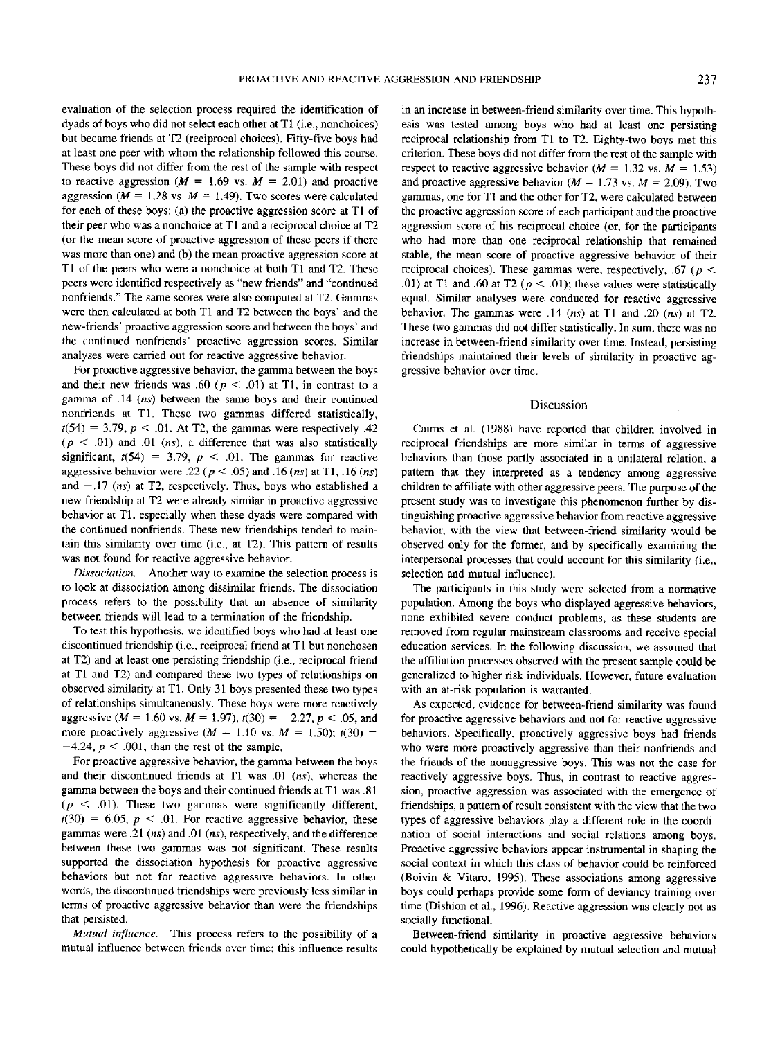evaluation of the selection process required the identification of dyads of boys who did not select each other at Tl (i.e.. nonchoices) but became friends at T2 (reciprocal choices). Fifty-five boys had at least one peer with whom the relationship followed this course. These boys did not differ from the rest of the sample with respect to reactive aggression  $(M = 1.69 \text{ vs. } M = 2.01)$  and proactive aggression ( $M = 1.28$  vs.  $M = 1.49$ ). Two scores were calculated for each of these boys: (a) the proactive aggression score at Tl of their peer who was a nonchoice at Tl and a reciprocal choice at T2 (or the mean score of proactive aggression of these peers if there was more than one) and (b) the mean proactive aggression score at Tl of the peers who were a nonchoice at both Tl and T2. These peers were identified respectively as "new friends" and "continued nonfriends." The same scores were also computed at T2. Gammas were then calculated at both Tl and T2 between the boys' and the new-friends' proactive aggression score and between the boys' and the the continued nonfriends' proactive aggression scores. Similar analyses were carried out for reactive aggressive behavior.

For proactive aggressive behavior, the gamma between the boys and their new friends was .60 ( $p < .01$ ) at T1, in contrast to a gamma of .14 (ns) between the same boys and their continued nonfriends at Tl. These two gammas differed statistically,  $t(54) = 3.79$ ,  $p < .01$ . At T2, the gammas were respectively .42  $(p \leq .01)$  and  $.01$  (ns), a difference that was also statistically significant,  $t(54) = 3.79$ ,  $p < .01$ . The gammas for reactive aggressive behavior were .22 *(p <* .05) and .16 *(ns)* al Tl, .16 *(ns)* and —.17 *(ns)* at T2, respectively. Thus, boys who established a new friendship at T2 were already similar in proactive aggressive behavior at Tl, especially when these dyads were compared with the continued nonfriends. These new friendships tended to maintain this similarity over time (i.e., at T2). This pattern of results was not found for reactive aggressive behavior.

*Dissociation.* Another way to examine the selection process is to look at dissociation among dissimilar friends. The dissociation process refers to the possibility that an absence of similarity between friends will lead to a termination of the friendship.

To test this hypothesis, we identified boys who had at least one discontinued friendship (i.e., reciprocal friend at Tl but nonchosen at T2) and at least one persisting friendship (i.e., reciprocal friend at Tl and T2) and compared these two types of relationships on observed similarity at Tl. Only 31 boys presented these two types of relationships simultaneously. These boys were more reactively aggressive ( $M = 1.60$  vs.  $M = 1.97$ ),  $t(30) = -2.27$ ,  $p < .05$ , and more proactively aggressive  $(M = 1.10 \text{ vs. } M = 1.50)$ ;  $t(30) =$  $-4.24$ ,  $p < .001$ , than the rest of the sample.

For proactive aggressive behavior, the gamma between the boys and their discontinued friends at Tl was .01 *(ns),* whereas the gamma between the boys and their continued friends at Tl was .81  $(p \leq .01)$ . These two gammas were significantly different,  $t(30) = 6.05, p < .01$ . For reactive aggressive behavior, these gammas were .21 *(ns)* and .01 *(ns),* respectively, and the difference between these two gammas was not significant. These results supported the dissociation hypothesis for proactive aggressive behaviors but not for reactive aggressive behaviors. In other words, the discontinued friendships were previously less similar in terms of proactive aggressive behavior than were the friendships that persisted.

*Mutual influence.* This process refers to the possibility of a mutual influence between friends over time; this influence results in an increase in between-friend similarity over time. This hypothesis was tested among boys who had at least one persisting reciprocal relationship from Tl to T2. Eighty-two boys met this criterion. These boys did not differ from the rest of the sample with respect to reactive aggressive behavior  $(M = 1.32 \text{ vs. } M = 1.53)$ and proactive aggressive behavior ( $M = 1.73$  vs.  $M = 2.09$ ). Two gammas, one for Tl and the other for T2, were calculated between the proactive aggression score of each participant and the proactive aggression score of his reciprocal choice (or, for the participants who had more than one reciprocal relationship that remained stable, the mean score of proactive aggressive behavior of their reciprocal choices). These gammas were, respectively, .67 *(p <* .01) at T1 and .60 at T2 ( $p < .01$ ); these values were statistically equal. Similar analyses were conducted for reactive aggressive behavior. The gammas were .14 *(ns)* at Tl and .20 *(ns)* at T2. These two gammas did not differ statistically. In sum, there was no increase in between-friend similarity over time. Instead, persisting friendships maintained their levels of similarity in proactive aggressive behavior over time.

#### Discussion

Cairns et al. (1988) have reported that children involved in reciprocal friendships are more similar in terms of aggressive behaviors than those partly associated in a unilateral relation, a pattern that they interpreted as a tendency among aggressive children to affiliate with other aggressive peers. The purpose of the present study was to investigate this phenomenon further by distinguishing proactive aggressive behavior from reactive aggressive behavior, with the view that between-friend similarity would be observed only for the former, and by specifically examining the interpersonal processes that could account for this similarity (i.e., selection and mutual influence).

The participants in this study were selected from a normative population. Among the boys who displayed aggressive behaviors, none exhibited severe conduct problems, as these students are removed from regular mainstream classrooms and receive special education services. In the following discussion, we assumed that the affiliation processes observed with the present sample could be generalized to higher risk individuals. However, future evaluation with an at-risk population is warranted.

As expected, evidence for between-friend similarity was found for proactive aggressive behaviors and not for reactive aggressive behaviors. Specifically, proactively aggressive boys had friends who were more proactively aggressive than their nonfriends and the friends of the nonaggressive boys. This was not the case for reactively aggressive boys. Thus, in contrast to reactive aggression, proactive aggression was associated with the emergence of friendships, a pattern of result consistent with the view that the two types of aggressive behaviors play a different role in the coordination of social interactions and social relations among boys. Proactive aggressive behaviors appear instrumental in shaping the social context in which this class of behavior could be reinforced (Boivin & Vitaro, 1995). These associations among aggressive boys could perhaps provide some form of deviancy training over time (Dishion et al., 1996). Reactive aggression was clearly not as socially functional.

Between-friend similarity in proactive aggressive behaviors could hypothetically be explained by mutual selection and mutual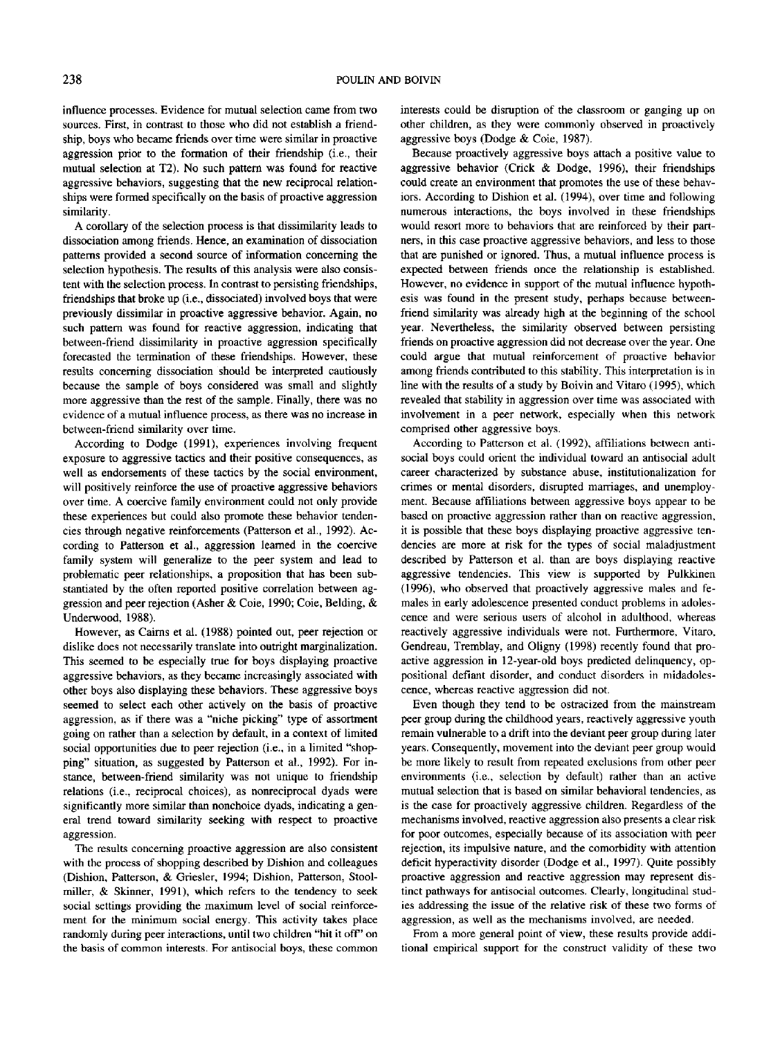influence processes. Evidence for mutual selection came from two sources. First, in contrast to those who did not establish a friendship, boys who became friends over time were similar in proactive aggression prior to the formation of their friendship (i.e., their mutual selection at T2). No such pattern was found for reactive aggressive behaviors, suggesting that the new reciprocal relationships were formed specifically on the basis of proactive aggression similarity.

A corollary of the selection process is that dissimilarity leads to dissociation among friends. Hence, an examination of dissociation patterns provided a second source of information concerning the selection hypothesis. The results of this analysis were also consistent with the selection process. In contrast to persisting friendships, friendships that broke up (i.e., dissociated) involved boys that were previously dissimilar in proactive aggressive behavior. Again, no such pattern was found for reactive aggression, indicating that between-friend dissimilarity in proactive aggression specifically forecasted the termination of these friendships. However, these results concerning dissociation should be interpreted cautiously because the sample of boys considered was small and slightly more aggressive than the rest of the sample. Finally, there was no evidence of a mutual influence process, as there was no increase in between-friend similarity over time.

According to Dodge (1991), experiences involving frequent exposure to aggressive tactics and their positive consequences, as well as endorsements of these tactics by the social environment, will positively reinforce the use of proactive aggressive behaviors over time. A coercive family environment could not only provide these experiences but could also promote these behavior tendencies through negative reinforcements (Patterson et al., 1992). According to Patterson et al., aggression learned in the coercive family system will generalize to the peer system and lead to problematic peer relationships, a proposition that has been substantiated by the often reported positive correlation between aggression and peer rejection (Asher & Coie, 1990; Coie, Belding, & Underwood, 1988).

However, as Cairns et al. (1988) pointed out, peer rejection or dislike does not necessarily translate into outright marginalization. This seemed to be especially true for boys displaying proactive aggressive behaviors, as they became increasingly associated with other boys also displaying these behaviors. These aggressive boys seemed to select each other actively on the basis of proactive aggression, as if there was a "niche picking" type of assortment going on rather than a selection by default, in a context of limited social opportunities due to peer rejection (i.e., in a limited "shopping" situation, as suggested by Patterson et al., 1992). For instance, between-friend similarity was not unique to friendship relations (i.e., reciprocal choices), as nonreciprocal dyads were significantly more similar than nonchoice dyads, indicating a general trend toward similarity seeking with respect to proactive aggression.

The results concerning proactive aggression are also consistent with the process of shopping described by Dishion and colleagues (Dishion, Patterson, & Griesler, 1994; Dishion, Patterson, Stoolmiller, & Skinner, 1991), which refers to the tendency to seek social settings providing the maximum level of social reinforcement for the minimum social energy. This activity takes place randomly during peer interactions, until two children "hit it off" on the basis of common interests. For antisocial boys, these common

interests could be disruption of the classroom or ganging up on other children, as they were commonly observed in proactively aggressive boys (Dodge & Coie, 1987).

Because proactively aggressive boys attach a positive value to aggressive behavior (Crick & Dodge, 1996), their friendships could create an environment that promotes the use of these behaviors. According to Dishion et al. (1994), over time and following numerous interactions, the boys involved in these friendships would resort more to behaviors that are reinforced by their partners, in this case proactive aggressive behaviors, and less to those that are punished or ignored. Thus, a mutual influence process is expected between friends once the relationship is established. However, no evidence in support of the mutual influence hypothesis was found in the present study, perhaps because betweenfriend similarity was already high at the beginning of the school year. Nevertheless, the similarity observed between persisting friends on proactive aggression did not decrease over the year. One could argue that mutual reinforcement of proactive behavior among friends contributed to this stability. This interpretation is in line with the results of a study by Boivin and Vitaro (1995), which revealed that stability in aggression over time was associated with involvement in a peer network, especially when this network comprised other aggressive boys.

According to Patterson et al. (1992), affiliations between antisocial boys could orient the individual toward an antisocial adult career characterized by substance abuse, institutionalization for crimes or mental disorders, disrupted marriages, and unemployment. Because affiliations between aggressive boys appear to be based on proactive aggression rather than on reactive aggression, it is possible that these boys displaying proactive aggressive tendencies are more at risk for the types of social maladjustment described by Patterson et al. than are boys displaying reactive aggressive tendencies. This view is supported by Pulkkinen (1996), who observed that proactively aggressive males and females in early adolescence presented conduct problems in adolescence and were serious users of alcohol in adulthood, whereas reactively aggressive individuals were not. Furthermore, Vitaro, Gendreau, Tremblay, and Oligny (1998) recently found that proactive aggression in 12-year-old boys predicted delinquency, oppositional defiant disorder, and conduct disorders in midadolescence, whereas reactive aggression did not.

Even though they tend to be ostracized from the mainstream peer group during the childhood years, reactively aggressive youth remain vulnerable to a drift into the deviant peer group during later years. Consequently, movement into the deviant peer group would be more likely to result from repeated exclusions from other peer environments (i.e., selection by default) rather than an active mutual selection that is based on similar behavioral tendencies, as is the case for proactively aggressive children. Regardless of the mechanisms involved, reactive aggression also presents a clear risk for poor outcomes, especially because of its association with peer rejection, its impulsive nature, and the comorbidity with attention deficit hyperactivity disorder (Dodge et al., 1997). Quite possibly proactive aggression and reactive aggression may represent distinct pathways for antisocial outcomes. Clearly, longitudinal studies addressing the issue of the relative risk of these two forms of aggression, as well as the mechanisms involved, are needed.

From a more general point of view, these results provide additional empirical support for the construct validity of these two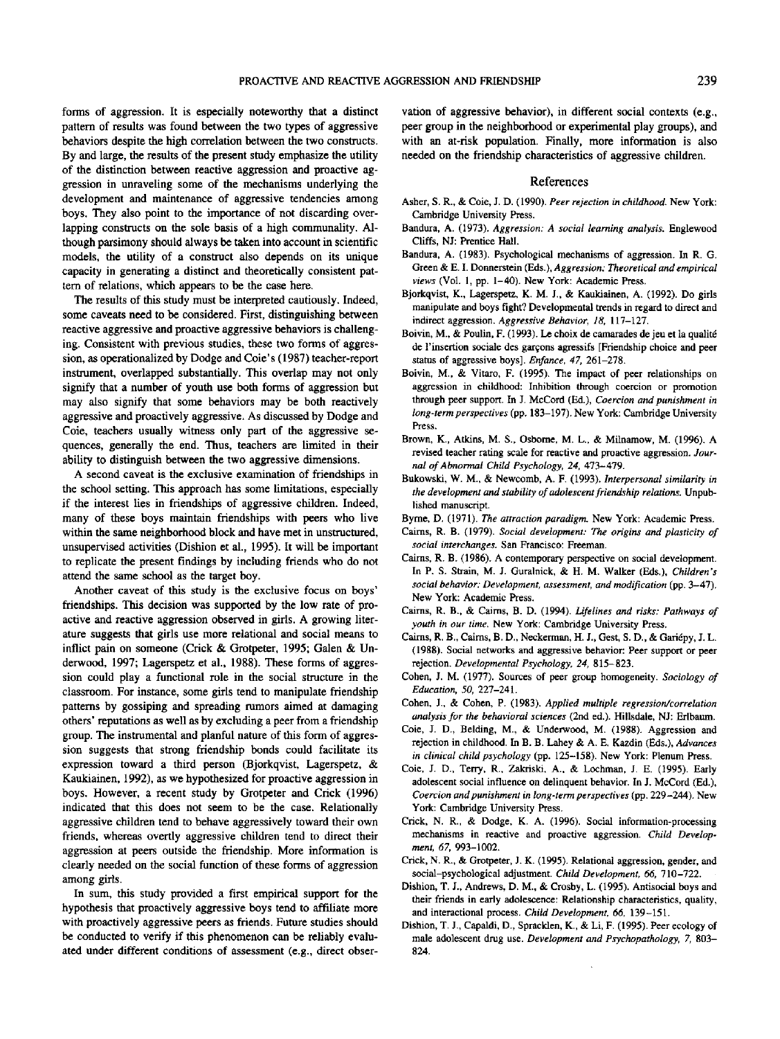forms of aggression. It is especially noteworthy that a distinct pattern of results was found between the two types of aggressive behaviors despite the high correlation between the two constructs. By and large, the results of the present study emphasize the utility of the distinction between reactive aggression and proactive aggression in unraveling some of the mechanisms underlying the development and maintenance of aggressive tendencies among boys. They also point to the importance of not discarding overlapping constructs on the sole basis of a high communality. Although parsimony should always be taken into account in scientific models, the utility of a construct also depends on its unique capacity in generating a distinct and theoretically consistent pattern of relations, which appears to be the case here.

The results of this study must be interpreted cautiously. Indeed, some caveats need to be considered. First, distinguishing between reactive aggressive and proactive aggressive behaviors is challenging. Consistent with previous studies, these two forms of aggression, as operationalized by Dodge and Coie's (1987) teacher-report instrument, overlapped substantially. This overlap may not only signify that a number of youth use both forms of aggression but may also signify that some behaviors may be both reactively aggressive and proactively aggressive. As discussed by Dodge and Coie, teachers usually witness only part of the aggressive sequences, generally the end. Thus, teachers are limited in their ability to distinguish between the two aggressive dimensions.

A second caveat is the exclusive examination of friendships in the school setting. This approach has some limitations, especially if the interest lies in friendships of aggressive children. Indeed, many of these boys maintain friendships with peers who live within the same neighborhood block and have met in unstructured, unsupervised activities (Dishion et al., 1995). It will be important to replicate the present findings by including friends who do not attend the same school as the target boy.

Another caveat of this study is the exclusive focus on boys' friendships. This decision was supported by the low rate of proactive and reactive aggression observed in girls. A growing literature suggests that girls use more relational and social means to inflict pain on someone (Crick & Grotpeter, 1995; Galen & Underwood, 1997; Lagerspetz et al., 1988). These forms of aggression could play a functional role in the social structure in the classroom. For instance, some girls tend to manipulate friendship patterns by gossiping and spreading rumors aimed at damaging others' reputations as well as by excluding a peer from a friendship group. The instrumental and planful nature of this form of aggression suggests that strong friendship bonds could facilitate its expression toward a third person (Bjorkqvist, Lagerspetz, & Kaukiainen, 1992), as we hypothesized for proactive aggression in boys. However, a recent study by Grotpeter and Crick (1996) indicated that this does not seem to be the case. Relationally aggressive children tend to behave aggressively toward their own friends, whereas overtly aggressive children tend to direct their aggression at peers outside the friendship. More information is clearly needed on the social function of these forms of aggression among girls.

In sum, this study provided a first empirical support for the hypothesis that proactively aggressive boys tend to affiliate more with proactively aggressive peers as friends. Future studies should be conducted to verify if this phenomenon can be reliably evaluated under different conditions of assessment (e.g., direct observation of aggressive behavior), in different social contexts (e.g., peer group in the neighborhood or experimental play groups), and with an at-risk population. Finally, more information is also needed on the friendship characteristics of aggressive children.

### References

- Asher, S. R., & Coie, J. D. (1990). *Peer rejection in childhood.* New York: Cambridge University Press.
- Bandura, A. (1973). *Aggression: A social learning analysis.* Englewood Cliffs, NJ: Prentice Hall.
- Bandura, A. (1983). Psychological mechanisms of aggression. In R. G. Green & E. I. Donnerstein (Eds.), *Aggression: Theoretical and empirical views* (Vol. 1, pp. 1-40). New York: Academic Press.
- Bjorkqvist, K., Lagerspetz, K. M. J., & Kaukiainen, A. (1992). Do girls manipulate and boys fight? Developmental trends in regard to direct and indirect aggression. *Aggressive Behavior, 18,* 117-127.
- Boivin, M., & Poulin, F. (1993). Le choix de camarades de jeu et la qualité de l'insertion sociale des garçons agressifs [Friendship choice and peer status of aggressive boys]. *Enfance, 47,* 261-278.
- Boivin, M., & Vitaro, F. (1995). The impact of peer relationships on aggression in childhood: Inhibition through coercion or promotion through peer support. In J. McCord (Ed.), *Coercion and punishment in long-term perspectives* (pp. 183-197). New York: Cambridge University Press.
- Brown, K., Atkins, M. S., Osborne, M. L., & Milnamow, M. (1996). A revised teacher rating scale for reactive and proactive aggression. *Journal of Abnormal Child Psychology, 24,* 473-479.
- Bukowski, W. M., & Newcomb, A. F. (1993). *Interpersonal similarity in the development and stability of adolescent friendship relations.* Unpublished manuscript.

Byrne, D. (1971). *The attraction paradigm.* New York: Academic Press.

- Cairns, R. B. (1979). *Social development: The origins and plasticity of social interchanges.* San Francisco: Freeman.
- Cairns, R. B. (1986). A contemporary perspective on social development. In P. S. Strain, M. J. Guralnick, & H. M. Walker (Eds.), *Children's social behavior: Development, assessment, and modification* (pp. 3-47). New York: Academic Press.
- Cairns, R. B., & Caims, B. D. (1994). *Lifelines and risks: Pathways of youth in our time.* New York: Cambridge University Press.
- Cairns, R. B., Cairns, B. D., Neckerman, H. J., Gest, S. D., & Gariepy, J. L. (1988). Social networks and aggressive behavior: Peer support or peer rejection. *Developmental Psychology, 24,* 815-823.
- Cohen, J. M. (1977). Sources of peer group homogeneity. *Sociology of Education, 50,* 227-241.
- Cohen, J., & Cohen, P. (1983). *Applied multiple regression/correlation analysis for the behavioral sciences* (2nd ed.). Hillsdale, NJ: Erlbaum.
- Coie, J. D., fielding, M., & Underwood, M. (1988). Aggression and rejection in childhood. In B. B. Lahey *&* A. E. Kazdin (Eds.), *Advances in clinical child psychology* (pp. 125-158). New York: Plenum Press.
- Coie, J. D., Terry, R., Zakriski, A., *&* Lochman, J. E. (1995). Early adolescent social influence on delinquent behavior. In J. McCord (Ed.), *Coercion and punishment in long-term perspectives* (pp. 229-244). New York: Cambridge University Press.
- Crick, N. R., & Dodge, K. A. (1996). Social information-processing mechanisms in reactive and proactive aggression. *Child Development, 67,* 993-1002.
- Crick, N. R., & Grotpeter, J. K. (1995). Relational aggression, gender, and social-psychological adjustment. *Child Development, 66,* 710-722.
- Dishion, T. J., Andrews, D. M., & Crosby, L. (1995). Antisocial boys and their friends in early adolescence: Relationship characteristics, quality, and interactional process. *Child Development, 66,* 139-151.
- Dishion, T. J., Capaldi, D., Spracklen, K., & Li, F. (1995). Peer ecology of male adolescent drug use. *Development and Psychopathology, 7,* 803- 824.